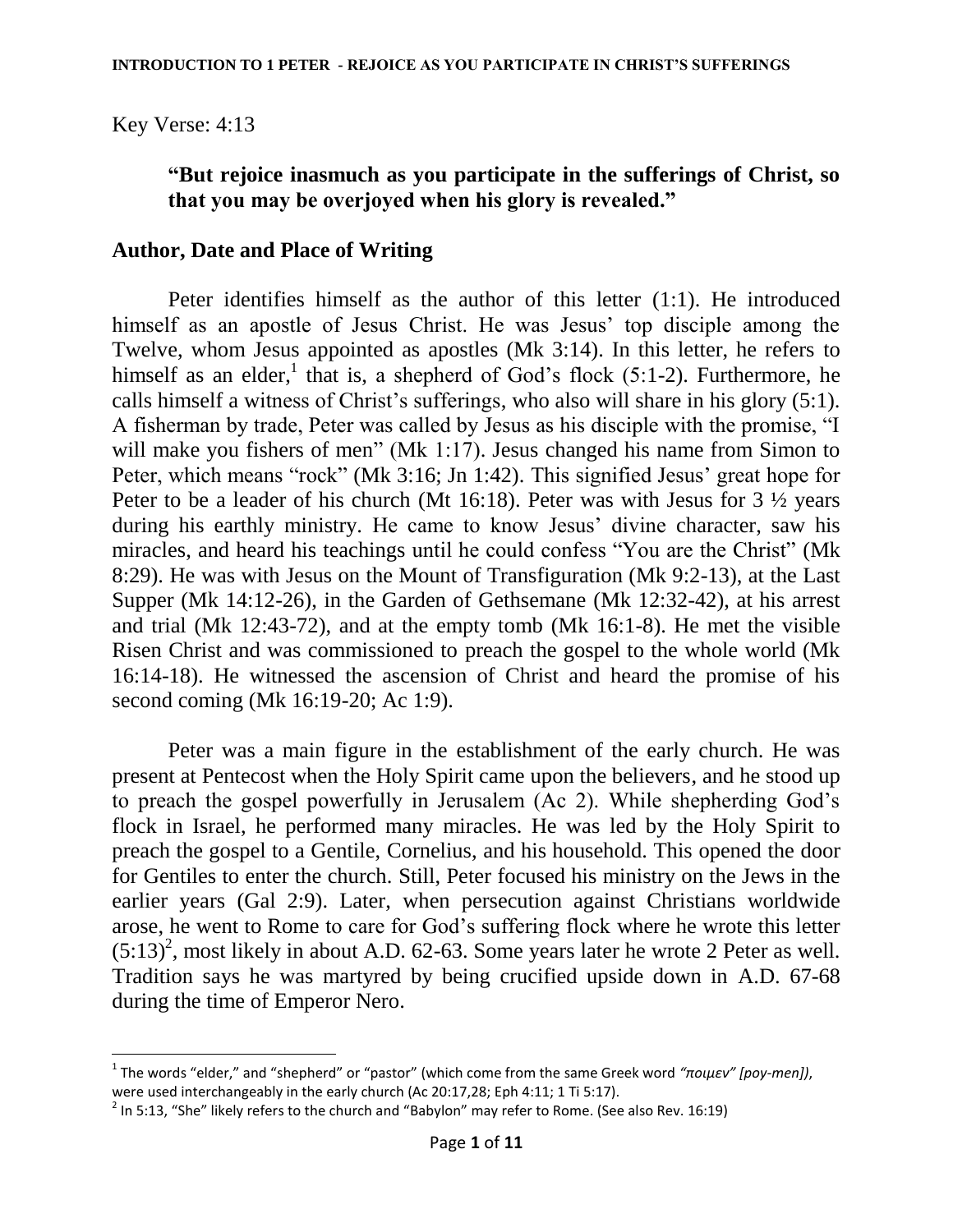Key Verse: 4:13

 $\overline{a}$ 

### **"But rejoice inasmuch as you participate in the sufferings of Christ, so that you may be overjoyed when his glory is revealed."**

### **Author, Date and Place of Writing**

Peter identifies himself as the author of this letter (1:1). He introduced himself as an apostle of Jesus Christ. He was Jesus' top disciple among the Twelve, whom Jesus appointed as apostles (Mk 3:14). In this letter, he refers to himself as an elder,<sup>1</sup> that is, a shepherd of God's flock (5:1-2). Furthermore, he calls himself a witness of Christ's sufferings, who also will share in his glory (5:1). A fisherman by trade, Peter was called by Jesus as his disciple with the promise, "I will make you fishers of men" (Mk 1:17). Jesus changed his name from Simon to Peter, which means "rock" (Mk 3:16; Jn 1:42). This signified Jesus' great hope for Peter to be a leader of his church (Mt 16:18). Peter was with Jesus for 3 ½ years during his earthly ministry. He came to know Jesus' divine character, saw his miracles, and heard his teachings until he could confess "You are the Christ" (Mk 8:29). He was with Jesus on the Mount of Transfiguration (Mk 9:2-13), at the Last Supper (Mk 14:12-26), in the Garden of Gethsemane (Mk 12:32-42), at his arrest and trial (Mk 12:43-72), and at the empty tomb (Mk 16:1-8). He met the visible Risen Christ and was commissioned to preach the gospel to the whole world (Mk 16:14-18). He witnessed the ascension of Christ and heard the promise of his second coming (Mk 16:19-20; Ac 1:9).

Peter was a main figure in the establishment of the early church. He was present at Pentecost when the Holy Spirit came upon the believers, and he stood up to preach the gospel powerfully in Jerusalem (Ac 2). While shepherding God"s flock in Israel, he performed many miracles. He was led by the Holy Spirit to preach the gospel to a Gentile, Cornelius, and his household. This opened the door for Gentiles to enter the church. Still, Peter focused his ministry on the Jews in the earlier years (Gal 2:9). Later, when persecution against Christians worldwide arose, he went to Rome to care for God"s suffering flock where he wrote this letter  $(5:13)^2$ , most likely in about A.D. 62-63. Some years later he wrote 2 Peter as well. Tradition says he was martyred by being crucified upside down in A.D. 67-68 during the time of Emperor Nero.

<sup>1</sup> The words "elder," and "shepherd" or "pastor" (which come from the same Greek word *"ποιμεν" [poy-men])*, were used interchangeably in the early church (Ac 20:17,28; Eph 4:11; 1 Ti 5:17).

 $^2$  In 5:13, "She" likely refers to the church and "Babylon" may refer to Rome. (See also Rev. 16:19)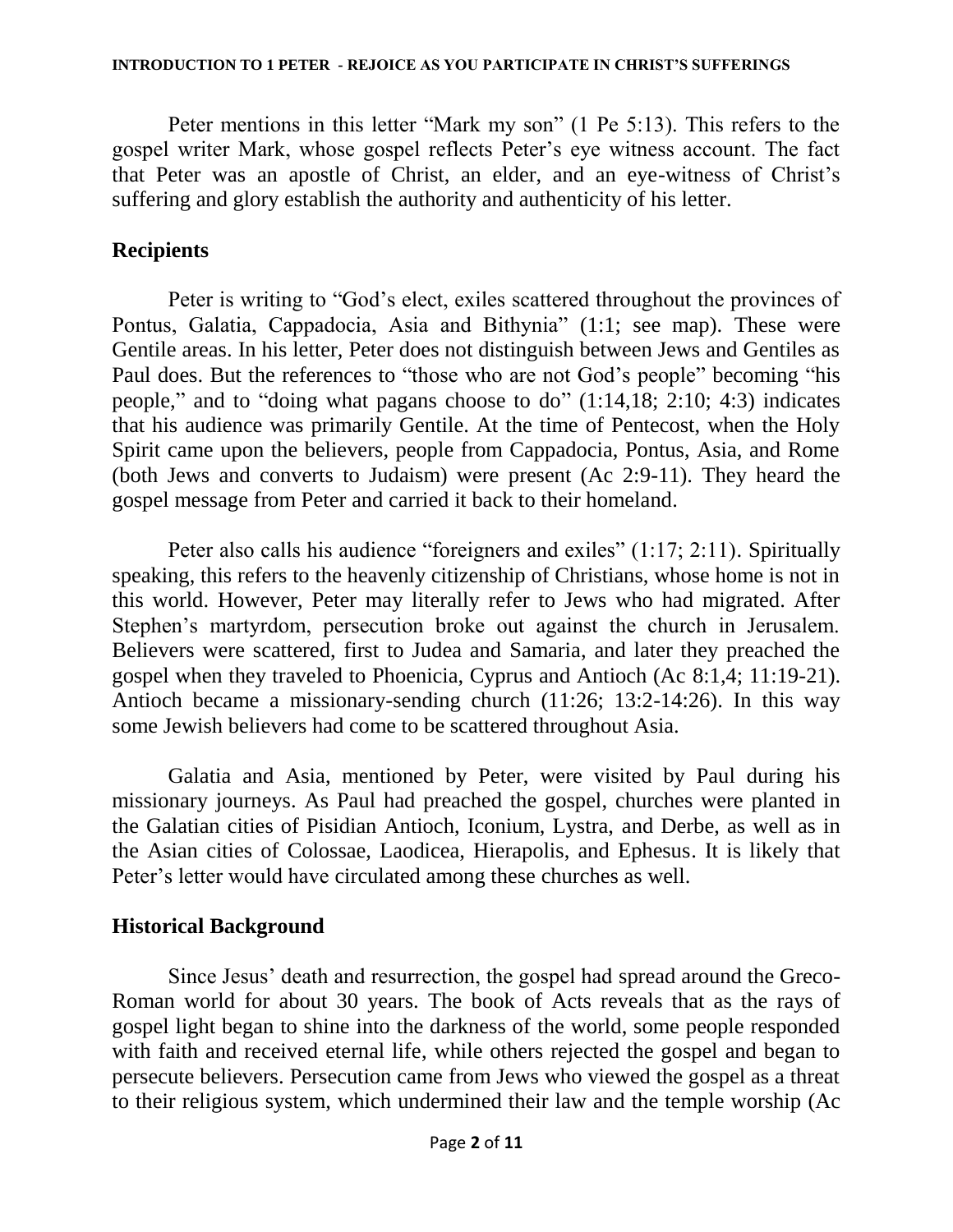Peter mentions in this letter "Mark my son" (1 Pe 5:13). This refers to the gospel writer Mark, whose gospel reflects Peter"s eye witness account. The fact that Peter was an apostle of Christ, an elder, and an eye-witness of Christ"s suffering and glory establish the authority and authenticity of his letter.

### **Recipients**

Peter is writing to "God's elect, exiles scattered throughout the provinces of Pontus, Galatia, Cappadocia, Asia and Bithynia" (1:1; see map). These were Gentile areas. In his letter, Peter does not distinguish between Jews and Gentiles as Paul does. But the references to "those who are not God"s people" becoming "his people," and to "doing what pagans choose to do" (1:14,18; 2:10; 4:3) indicates that his audience was primarily Gentile. At the time of Pentecost, when the Holy Spirit came upon the believers, people from Cappadocia, Pontus, Asia, and Rome (both Jews and converts to Judaism) were present (Ac 2:9-11). They heard the gospel message from Peter and carried it back to their homeland.

Peter also calls his audience "foreigners and exiles" (1:17; 2:11). Spiritually speaking, this refers to the heavenly citizenship of Christians, whose home is not in this world. However, Peter may literally refer to Jews who had migrated. After Stephen"s martyrdom, persecution broke out against the church in Jerusalem. Believers were scattered, first to Judea and Samaria, and later they preached the gospel when they traveled to Phoenicia, Cyprus and Antioch (Ac 8:1,4; 11:19-21). Antioch became a missionary-sending church (11:26; 13:2-14:26). In this way some Jewish believers had come to be scattered throughout Asia.

Galatia and Asia, mentioned by Peter, were visited by Paul during his missionary journeys. As Paul had preached the gospel, churches were planted in the Galatian cities of Pisidian Antioch, Iconium, Lystra, and Derbe, as well as in the Asian cities of Colossae, Laodicea, Hierapolis, and Ephesus. It is likely that Peter's letter would have circulated among these churches as well.

### **Historical Background**

Since Jesus" death and resurrection, the gospel had spread around the Greco-Roman world for about 30 years. The book of Acts reveals that as the rays of gospel light began to shine into the darkness of the world, some people responded with faith and received eternal life, while others rejected the gospel and began to persecute believers. Persecution came from Jews who viewed the gospel as a threat to their religious system, which undermined their law and the temple worship (Ac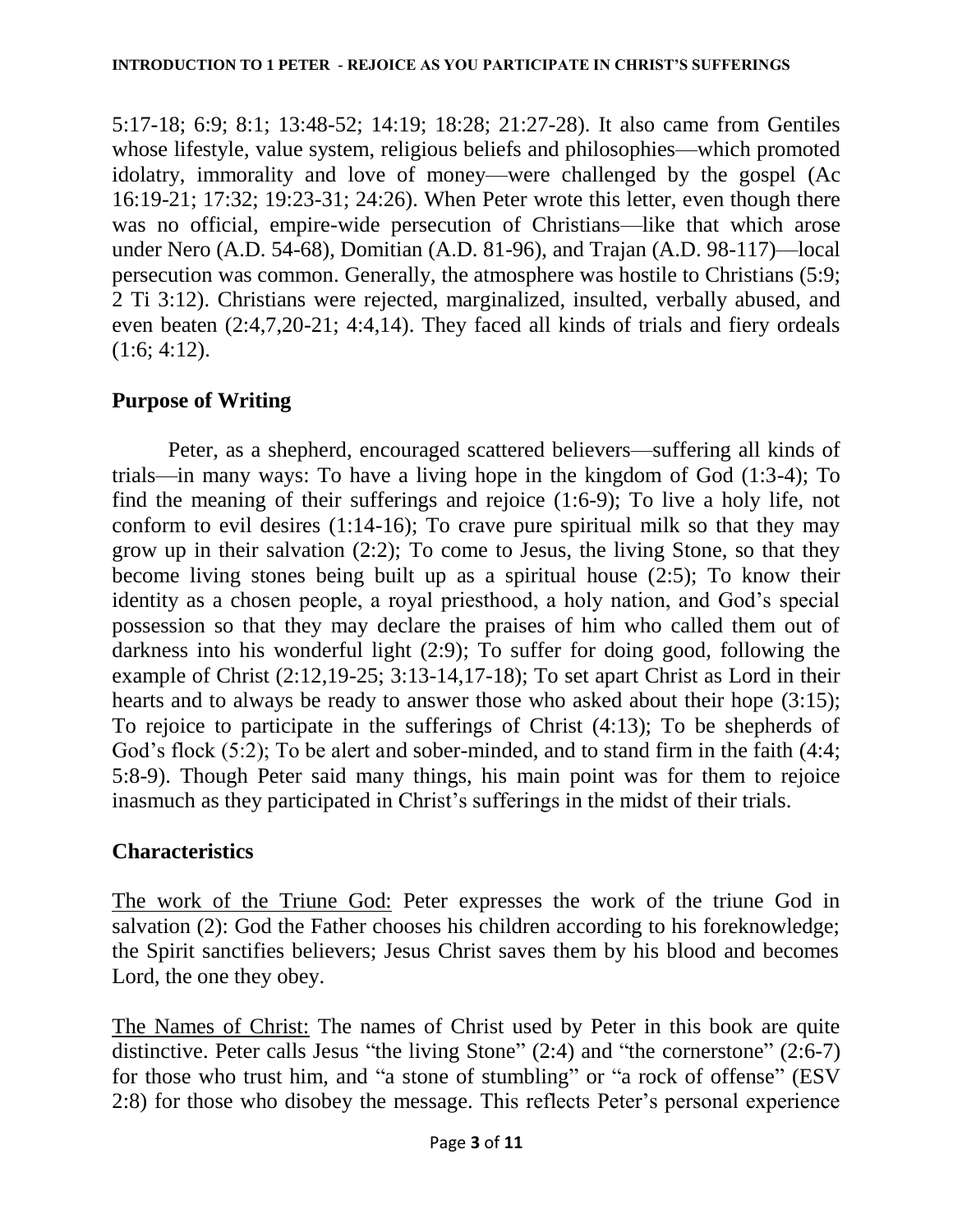5:17-18; 6:9; 8:1; 13:48-52; 14:19; 18:28; 21:27-28). It also came from Gentiles whose lifestyle, value system, religious beliefs and philosophies—which promoted idolatry, immorality and love of money—were challenged by the gospel (Ac 16:19-21; 17:32; 19:23-31; 24:26). When Peter wrote this letter, even though there was no official, empire-wide persecution of Christians—like that which arose under Nero (A.D. 54-68), Domitian (A.D. 81-96), and Trajan (A.D. 98-117)—local persecution was common. Generally, the atmosphere was hostile to Christians (5:9; 2 Ti 3:12). Christians were rejected, marginalized, insulted, verbally abused, and even beaten (2:4,7,20-21; 4:4,14). They faced all kinds of trials and fiery ordeals  $(1:6; 4:12).$ 

# **Purpose of Writing**

Peter, as a shepherd, encouraged scattered believers—suffering all kinds of trials—in many ways: To have a living hope in the kingdom of God (1:3-4); To find the meaning of their sufferings and rejoice (1:6-9); To live a holy life, not conform to evil desires  $(1:14-16)$ ; To crave pure spiritual milk so that they may grow up in their salvation (2:2); To come to Jesus, the living Stone, so that they become living stones being built up as a spiritual house (2:5); To know their identity as a chosen people, a royal priesthood, a holy nation, and God's special possession so that they may declare the praises of him who called them out of darkness into his wonderful light (2:9); To suffer for doing good, following the example of Christ (2:12,19-25; 3:13-14,17-18); To set apart Christ as Lord in their hearts and to always be ready to answer those who asked about their hope (3:15); To rejoice to participate in the sufferings of Christ (4:13); To be shepherds of God's flock (5:2); To be alert and sober-minded, and to stand firm in the faith (4:4; 5:8-9). Though Peter said many things, his main point was for them to rejoice inasmuch as they participated in Christ's sufferings in the midst of their trials.

# **Characteristics**

The work of the Triune God: Peter expresses the work of the triune God in salvation (2): God the Father chooses his children according to his foreknowledge; the Spirit sanctifies believers; Jesus Christ saves them by his blood and becomes Lord, the one they obey.

The Names of Christ: The names of Christ used by Peter in this book are quite distinctive. Peter calls Jesus "the living Stone" (2:4) and "the cornerstone" (2:6-7) for those who trust him, and "a stone of stumbling" or "a rock of offense" (ESV 2:8) for those who disobey the message. This reflects Peter"s personal experience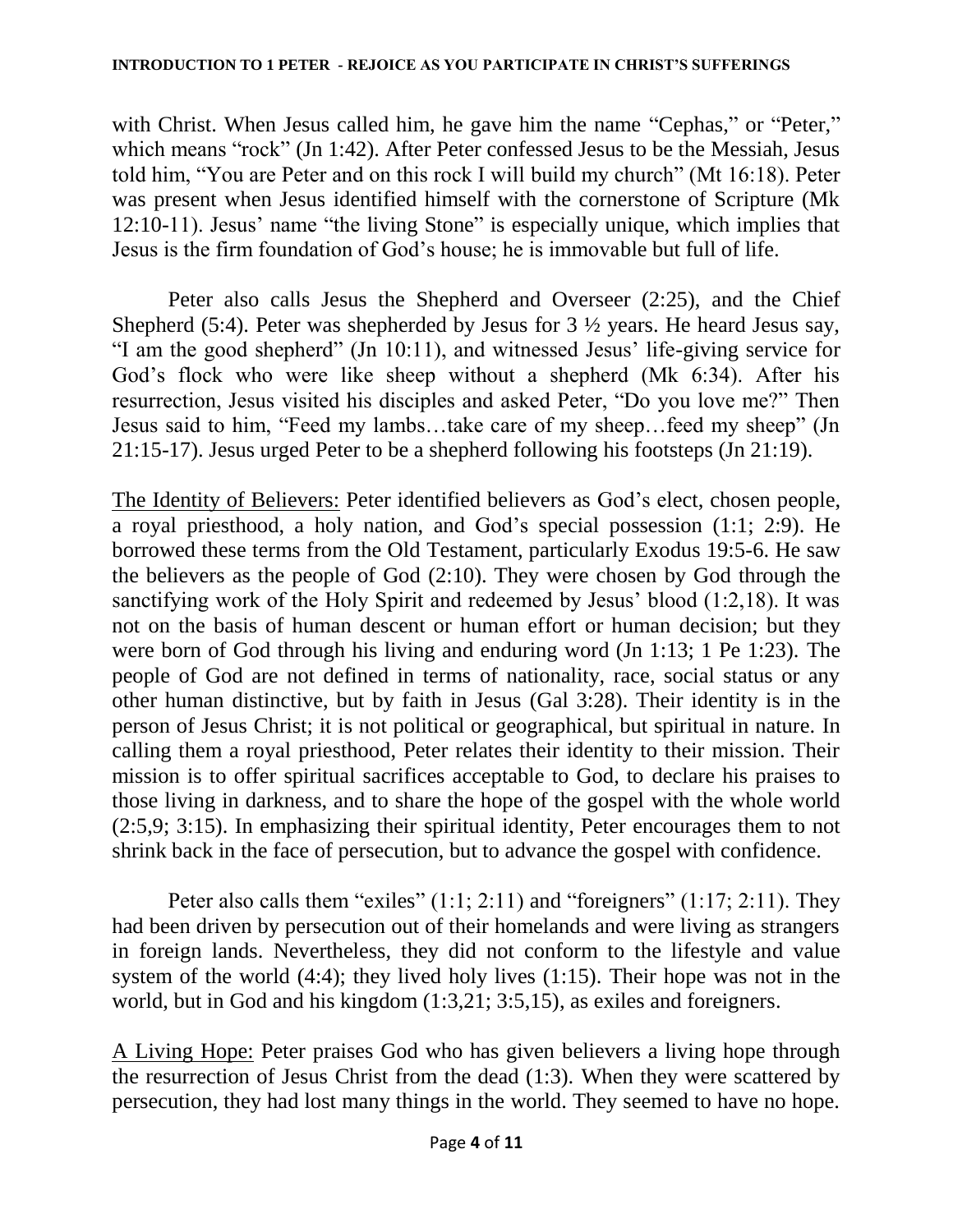#### **INTRODUCTION TO 1 PETER - REJOICE AS YOU PARTICIPATE IN CHRIST'S SUFFERINGS**

with Christ. When Jesus called him, he gave him the name "Cephas," or "Peter," which means "rock" (Jn 1:42). After Peter confessed Jesus to be the Messiah, Jesus told him, "You are Peter and on this rock I will build my church" (Mt 16:18). Peter was present when Jesus identified himself with the cornerstone of Scripture (Mk 12:10-11). Jesus" name "the living Stone" is especially unique, which implies that Jesus is the firm foundation of God"s house; he is immovable but full of life.

Peter also calls Jesus the Shepherd and Overseer (2:25), and the Chief Shepherd (5:4). Peter was shepherded by Jesus for  $3\frac{1}{2}$  years. He heard Jesus say, "I am the good shepherd" (Jn 10:11), and witnessed Jesus" life-giving service for God"s flock who were like sheep without a shepherd (Mk 6:34). After his resurrection, Jesus visited his disciples and asked Peter, "Do you love me?" Then Jesus said to him, "Feed my lambs…take care of my sheep…feed my sheep" (Jn 21:15-17). Jesus urged Peter to be a shepherd following his footsteps (Jn 21:19).

The Identity of Believers: Peter identified believers as God's elect, chosen people, a royal priesthood, a holy nation, and God"s special possession (1:1; 2:9). He borrowed these terms from the Old Testament, particularly Exodus 19:5-6. He saw the believers as the people of God (2:10). They were chosen by God through the sanctifying work of the Holy Spirit and redeemed by Jesus' blood  $(1:2,18)$ . It was not on the basis of human descent or human effort or human decision; but they were born of God through his living and enduring word (Jn 1:13; 1 Pe 1:23). The people of God are not defined in terms of nationality, race, social status or any other human distinctive, but by faith in Jesus (Gal 3:28). Their identity is in the person of Jesus Christ; it is not political or geographical, but spiritual in nature. In calling them a royal priesthood, Peter relates their identity to their mission. Their mission is to offer spiritual sacrifices acceptable to God, to declare his praises to those living in darkness, and to share the hope of the gospel with the whole world (2:5,9; 3:15). In emphasizing their spiritual identity, Peter encourages them to not shrink back in the face of persecution, but to advance the gospel with confidence.

Peter also calls them "exiles"  $(1:1; 2:11)$  and "foreigners"  $(1:17; 2:11)$ . They had been driven by persecution out of their homelands and were living as strangers in foreign lands. Nevertheless, they did not conform to the lifestyle and value system of the world (4:4); they lived holy lives (1:15). Their hope was not in the world, but in God and his kingdom (1:3,21; 3:5,15), as exiles and foreigners.

A Living Hope: Peter praises God who has given believers a living hope through the resurrection of Jesus Christ from the dead (1:3). When they were scattered by persecution, they had lost many things in the world. They seemed to have no hope.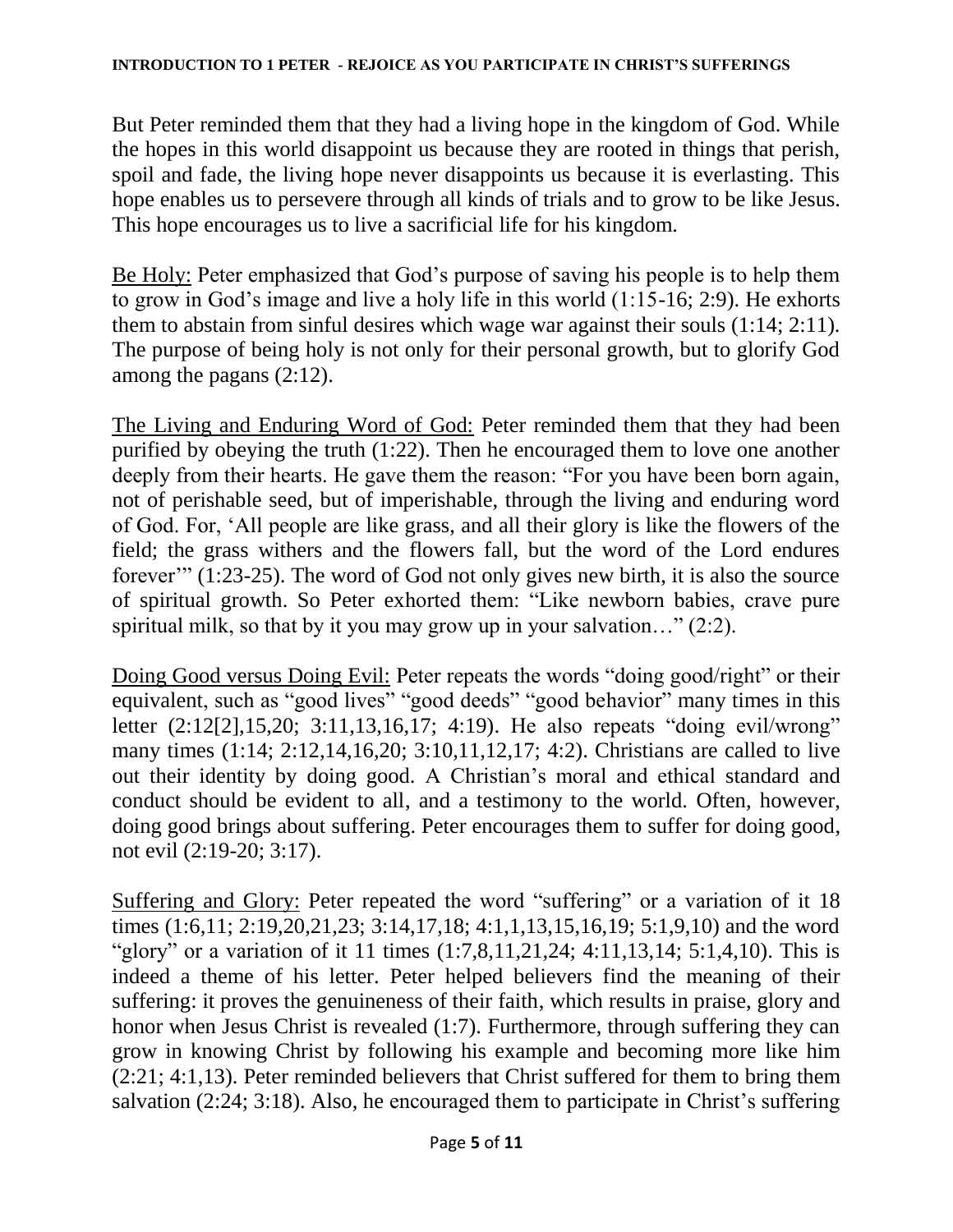#### **INTRODUCTION TO 1 PETER - REJOICE AS YOU PARTICIPATE IN CHRIST'S SUFFERINGS**

But Peter reminded them that they had a living hope in the kingdom of God. While the hopes in this world disappoint us because they are rooted in things that perish, spoil and fade, the living hope never disappoints us because it is everlasting. This hope enables us to persevere through all kinds of trials and to grow to be like Jesus. This hope encourages us to live a sacrificial life for his kingdom.

Be Holy: Peter emphasized that God's purpose of saving his people is to help them to grow in God's image and live a holy life in this world  $(1:15-16; 2:9)$ . He exhorts them to abstain from sinful desires which wage war against their souls (1:14; 2:11). The purpose of being holy is not only for their personal growth, but to glorify God among the pagans (2:12).

The Living and Enduring Word of God: Peter reminded them that they had been purified by obeying the truth (1:22). Then he encouraged them to love one another deeply from their hearts. He gave them the reason: "For you have been born again, not of perishable seed, but of imperishable, through the living and enduring word of God. For, "All people are like grass, and all their glory is like the flowers of the field; the grass withers and the flowers fall, but the word of the Lord endures forever" (1:23-25). The word of God not only gives new birth, it is also the source of spiritual growth. So Peter exhorted them: "Like newborn babies, crave pure spiritual milk, so that by it you may grow up in your salvation…" (2:2).

Doing Good versus Doing Evil: Peter repeats the words "doing good/right" or their equivalent, such as "good lives" "good deeds" "good behavior" many times in this letter (2:12[2],15,20; 3:11,13,16,17; 4:19). He also repeats "doing evil/wrong" many times (1:14; 2:12,14,16,20; 3:10,11,12,17; 4:2). Christians are called to live out their identity by doing good. A Christian"s moral and ethical standard and conduct should be evident to all, and a testimony to the world. Often, however, doing good brings about suffering. Peter encourages them to suffer for doing good, not evil (2:19-20; 3:17).

Suffering and Glory: Peter repeated the word "suffering" or a variation of it 18 times (1:6,11; 2:19,20,21,23; 3:14,17,18; 4:1,1,13,15,16,19; 5:1,9,10) and the word "glory" or a variation of it 11 times (1:7,8,11,21,24; 4:11,13,14; 5:1,4,10). This is indeed a theme of his letter. Peter helped believers find the meaning of their suffering: it proves the genuineness of their faith, which results in praise, glory and honor when Jesus Christ is revealed (1:7). Furthermore, through suffering they can grow in knowing Christ by following his example and becoming more like him (2:21; 4:1,13). Peter reminded believers that Christ suffered for them to bring them salvation  $(2:24; 3:18)$ . Also, he encouraged them to participate in Christ's suffering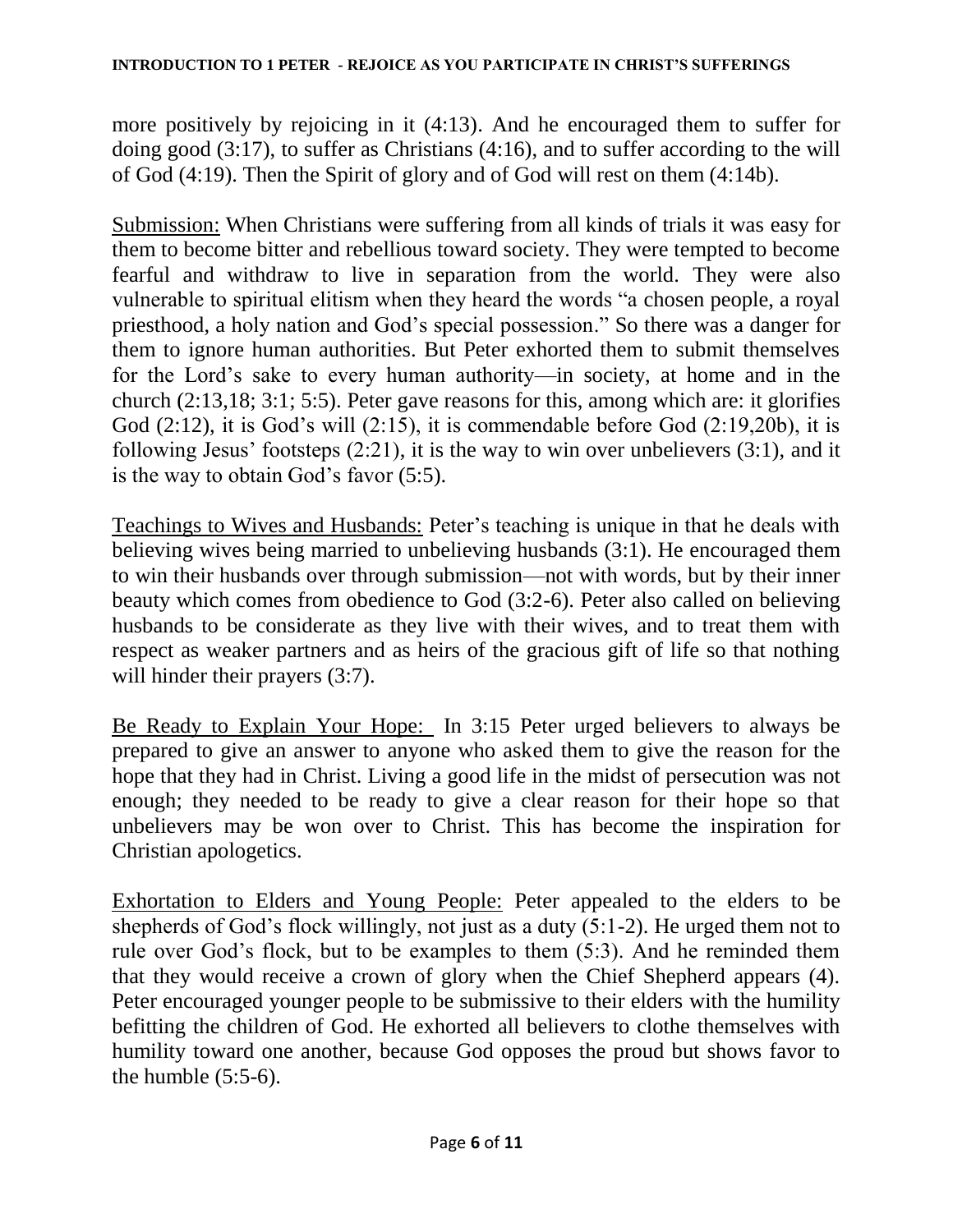more positively by rejoicing in it (4:13). And he encouraged them to suffer for doing good (3:17), to suffer as Christians (4:16), and to suffer according to the will of God (4:19). Then the Spirit of glory and of God will rest on them (4:14b).

Submission: When Christians were suffering from all kinds of trials it was easy for them to become bitter and rebellious toward society. They were tempted to become fearful and withdraw to live in separation from the world. They were also vulnerable to spiritual elitism when they heard the words "a chosen people, a royal priesthood, a holy nation and God"s special possession." So there was a danger for them to ignore human authorities. But Peter exhorted them to submit themselves for the Lord"s sake to every human authority—in society, at home and in the church (2:13,18; 3:1; 5:5). Peter gave reasons for this, among which are: it glorifies God  $(2:12)$ , it is God's will  $(2:15)$ , it is commendable before God  $(2:19,20b)$ , it is following Jesus' footsteps  $(2:21)$ , it is the way to win over unbelievers  $(3:1)$ , and it is the way to obtain God's favor (5:5).

Teachings to Wives and Husbands: Peter"s teaching is unique in that he deals with believing wives being married to unbelieving husbands (3:1). He encouraged them to win their husbands over through submission—not with words, but by their inner beauty which comes from obedience to God (3:2-6). Peter also called on believing husbands to be considerate as they live with their wives, and to treat them with respect as weaker partners and as heirs of the gracious gift of life so that nothing will hinder their prayers  $(3:7)$ .

Be Ready to Explain Your Hope: In 3:15 Peter urged believers to always be prepared to give an answer to anyone who asked them to give the reason for the hope that they had in Christ. Living a good life in the midst of persecution was not enough; they needed to be ready to give a clear reason for their hope so that unbelievers may be won over to Christ. This has become the inspiration for Christian apologetics.

Exhortation to Elders and Young People: Peter appealed to the elders to be shepherds of God's flock willingly, not just as a duty  $(5:1-2)$ . He urged them not to rule over God's flock, but to be examples to them (5:3). And he reminded them that they would receive a crown of glory when the Chief Shepherd appears (4). Peter encouraged younger people to be submissive to their elders with the humility befitting the children of God. He exhorted all believers to clothe themselves with humility toward one another, because God opposes the proud but shows favor to the humble  $(5:5-6)$ .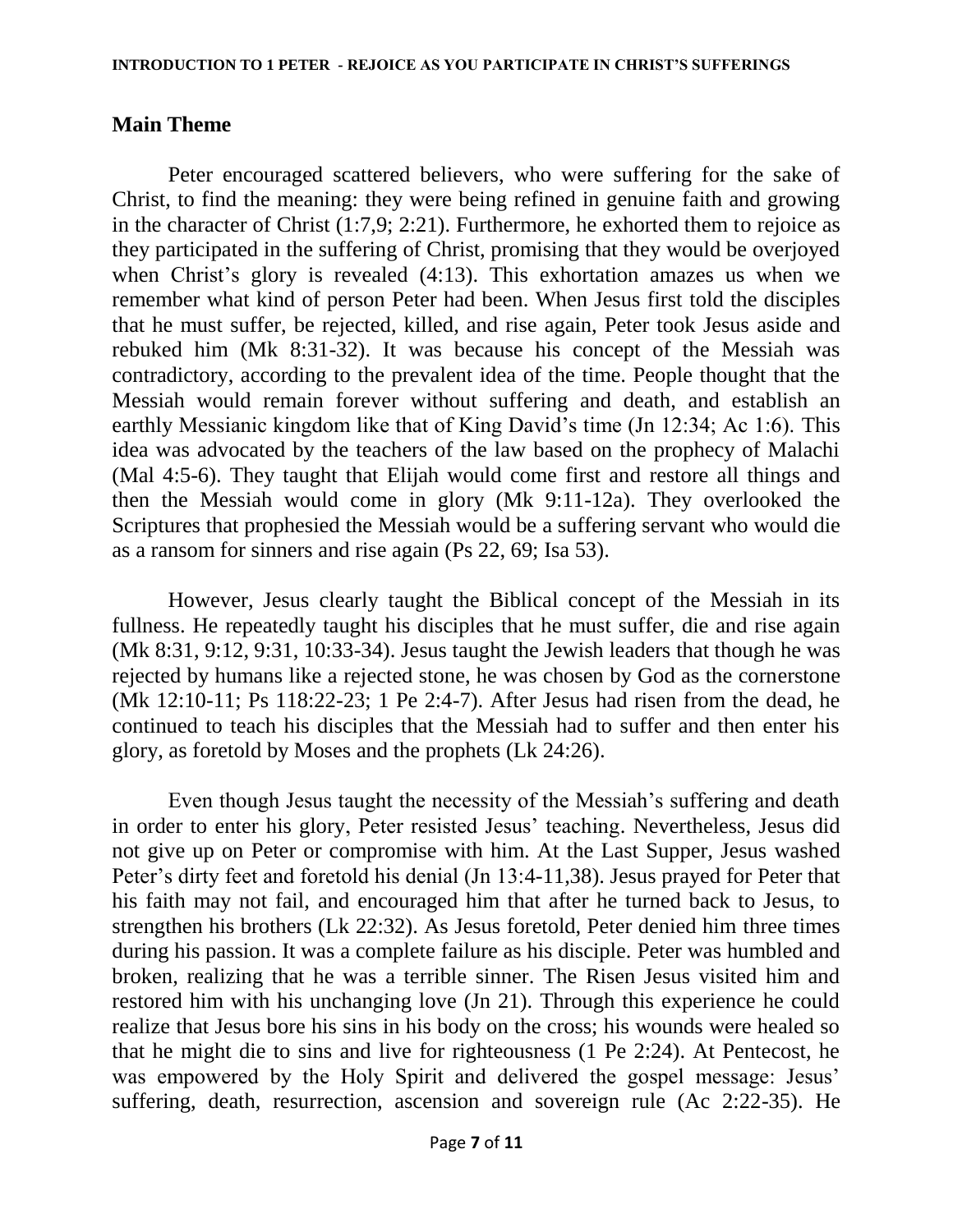### **Main Theme**

Peter encouraged scattered believers, who were suffering for the sake of Christ, to find the meaning: they were being refined in genuine faith and growing in the character of Christ (1:7,9; 2:21). Furthermore, he exhorted them to rejoice as they participated in the suffering of Christ, promising that they would be overjoyed when Christ's glory is revealed  $(4:13)$ . This exhortation amazes us when we remember what kind of person Peter had been. When Jesus first told the disciples that he must suffer, be rejected, killed, and rise again, Peter took Jesus aside and rebuked him (Mk 8:31-32). It was because his concept of the Messiah was contradictory, according to the prevalent idea of the time. People thought that the Messiah would remain forever without suffering and death, and establish an earthly Messianic kingdom like that of King David"s time (Jn 12:34; Ac 1:6). This idea was advocated by the teachers of the law based on the prophecy of Malachi (Mal 4:5-6). They taught that Elijah would come first and restore all things and then the Messiah would come in glory (Mk 9:11-12a). They overlooked the Scriptures that prophesied the Messiah would be a suffering servant who would die as a ransom for sinners and rise again (Ps 22, 69; Isa 53).

However, Jesus clearly taught the Biblical concept of the Messiah in its fullness. He repeatedly taught his disciples that he must suffer, die and rise again (Mk 8:31, 9:12, 9:31, 10:33-34). Jesus taught the Jewish leaders that though he was rejected by humans like a rejected stone, he was chosen by God as the cornerstone (Mk 12:10-11; Ps 118:22-23; 1 Pe 2:4-7). After Jesus had risen from the dead, he continued to teach his disciples that the Messiah had to suffer and then enter his glory, as foretold by Moses and the prophets (Lk 24:26).

Even though Jesus taught the necessity of the Messiah's suffering and death in order to enter his glory, Peter resisted Jesus' teaching. Nevertheless, Jesus did not give up on Peter or compromise with him. At the Last Supper, Jesus washed Peter's dirty feet and foretold his denial (Jn 13:4-11,38). Jesus prayed for Peter that his faith may not fail, and encouraged him that after he turned back to Jesus, to strengthen his brothers (Lk 22:32). As Jesus foretold, Peter denied him three times during his passion. It was a complete failure as his disciple. Peter was humbled and broken, realizing that he was a terrible sinner. The Risen Jesus visited him and restored him with his unchanging love (Jn 21). Through this experience he could realize that Jesus bore his sins in his body on the cross; his wounds were healed so that he might die to sins and live for righteousness (1 Pe 2:24). At Pentecost, he was empowered by the Holy Spirit and delivered the gospel message: Jesus' suffering, death, resurrection, ascension and sovereign rule (Ac 2:22-35). He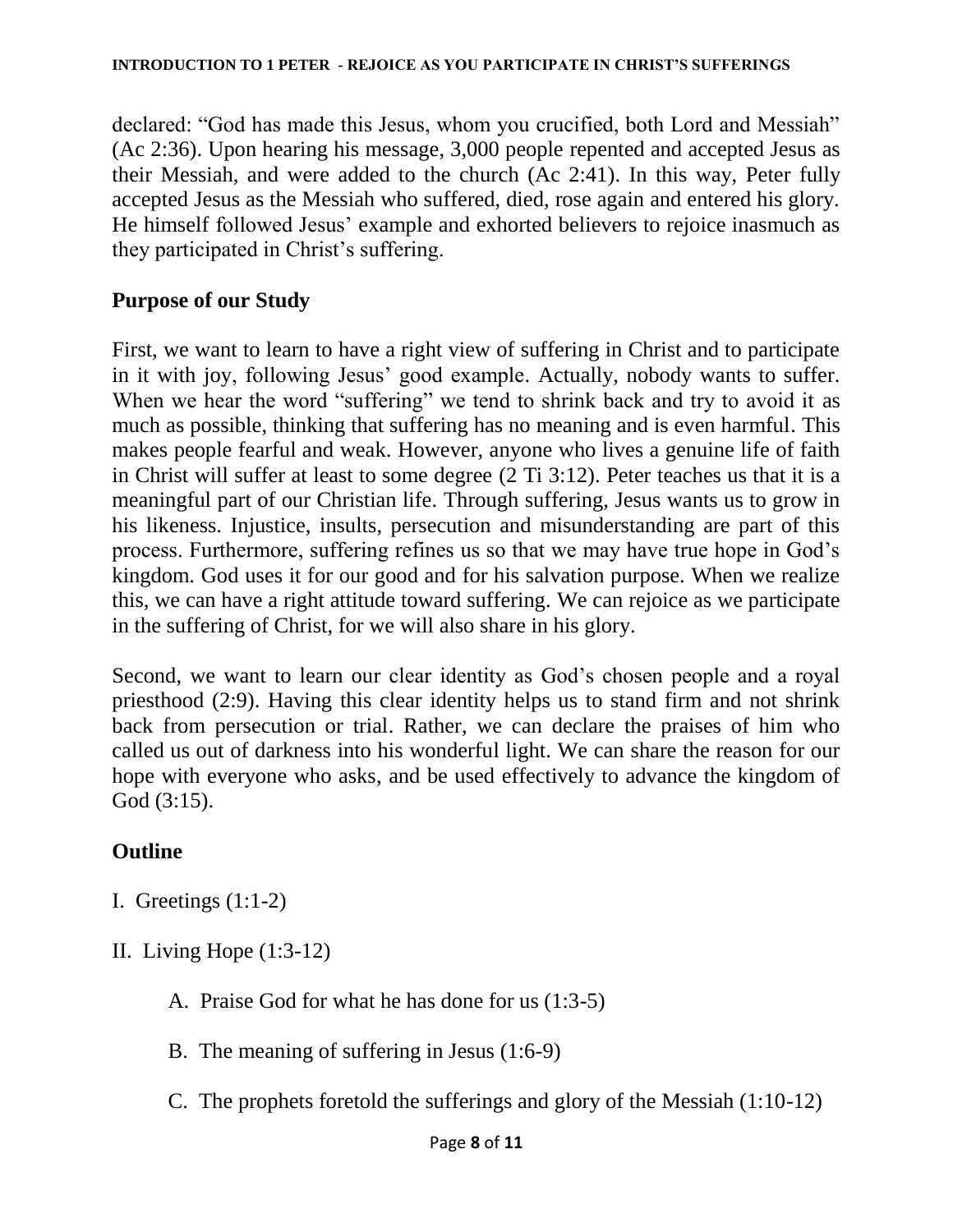declared: "God has made this Jesus, whom you crucified, both Lord and Messiah" (Ac 2:36). Upon hearing his message, 3,000 people repented and accepted Jesus as their Messiah, and were added to the church (Ac 2:41). In this way, Peter fully accepted Jesus as the Messiah who suffered, died, rose again and entered his glory. He himself followed Jesus' example and exhorted believers to rejoice inasmuch as they participated in Christ's suffering.

### **Purpose of our Study**

First, we want to learn to have a right view of suffering in Christ and to participate in it with joy, following Jesus' good example. Actually, nobody wants to suffer. When we hear the word "suffering" we tend to shrink back and try to avoid it as much as possible, thinking that suffering has no meaning and is even harmful. This makes people fearful and weak. However, anyone who lives a genuine life of faith in Christ will suffer at least to some degree (2 Ti 3:12). Peter teaches us that it is a meaningful part of our Christian life. Through suffering, Jesus wants us to grow in his likeness. Injustice, insults, persecution and misunderstanding are part of this process. Furthermore, suffering refines us so that we may have true hope in God"s kingdom. God uses it for our good and for his salvation purpose. When we realize this, we can have a right attitude toward suffering. We can rejoice as we participate in the suffering of Christ, for we will also share in his glory.

Second, we want to learn our clear identity as God's chosen people and a royal priesthood (2:9). Having this clear identity helps us to stand firm and not shrink back from persecution or trial. Rather, we can declare the praises of him who called us out of darkness into his wonderful light. We can share the reason for our hope with everyone who asks, and be used effectively to advance the kingdom of God (3:15).

# **Outline**

- I. Greetings  $(1:1-2)$
- II. Living Hope (1:3-12)
	- A. Praise God for what he has done for us (1:3-5)
	- B. The meaning of suffering in Jesus (1:6-9)
	- C. The prophets foretold the sufferings and glory of the Messiah (1:10-12)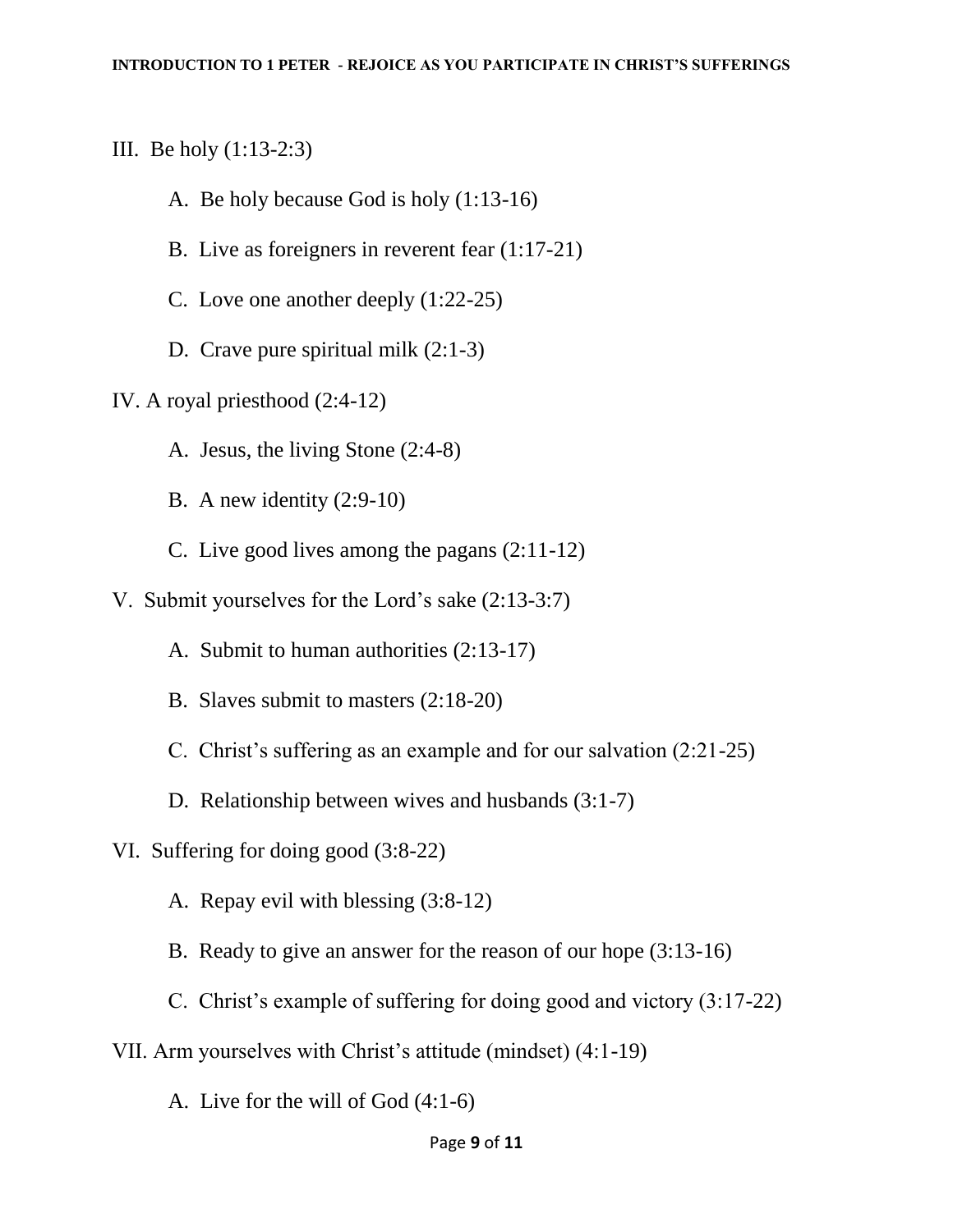III. Be holy (1:13-2:3)

- A. Be holy because God is holy (1:13-16)
- B. Live as foreigners in reverent fear (1:17-21)
- C. Love one another deeply (1:22-25)
- D. Crave pure spiritual milk  $(2:1-3)$
- IV. A royal priesthood (2:4-12)
	- A. Jesus, the living Stone (2:4-8)
	- B. A new identity (2:9-10)
	- C. Live good lives among the pagans (2:11-12)
- V. Submit yourselves for the Lord"s sake (2:13-3:7)
	- A. Submit to human authorities (2:13-17)
	- B. Slaves submit to masters (2:18-20)
	- C. Christ"s suffering as an example and for our salvation (2:21-25)
	- D. Relationship between wives and husbands (3:1-7)
- VI. Suffering for doing good (3:8-22)
	- A. Repay evil with blessing (3:8-12)
	- B. Ready to give an answer for the reason of our hope (3:13-16)
	- C. Christ's example of suffering for doing good and victory  $(3:17-22)$
- VII. Arm yourselves with Christ"s attitude (mindset) (4:1-19)
	- A. Live for the will of God (4:1-6)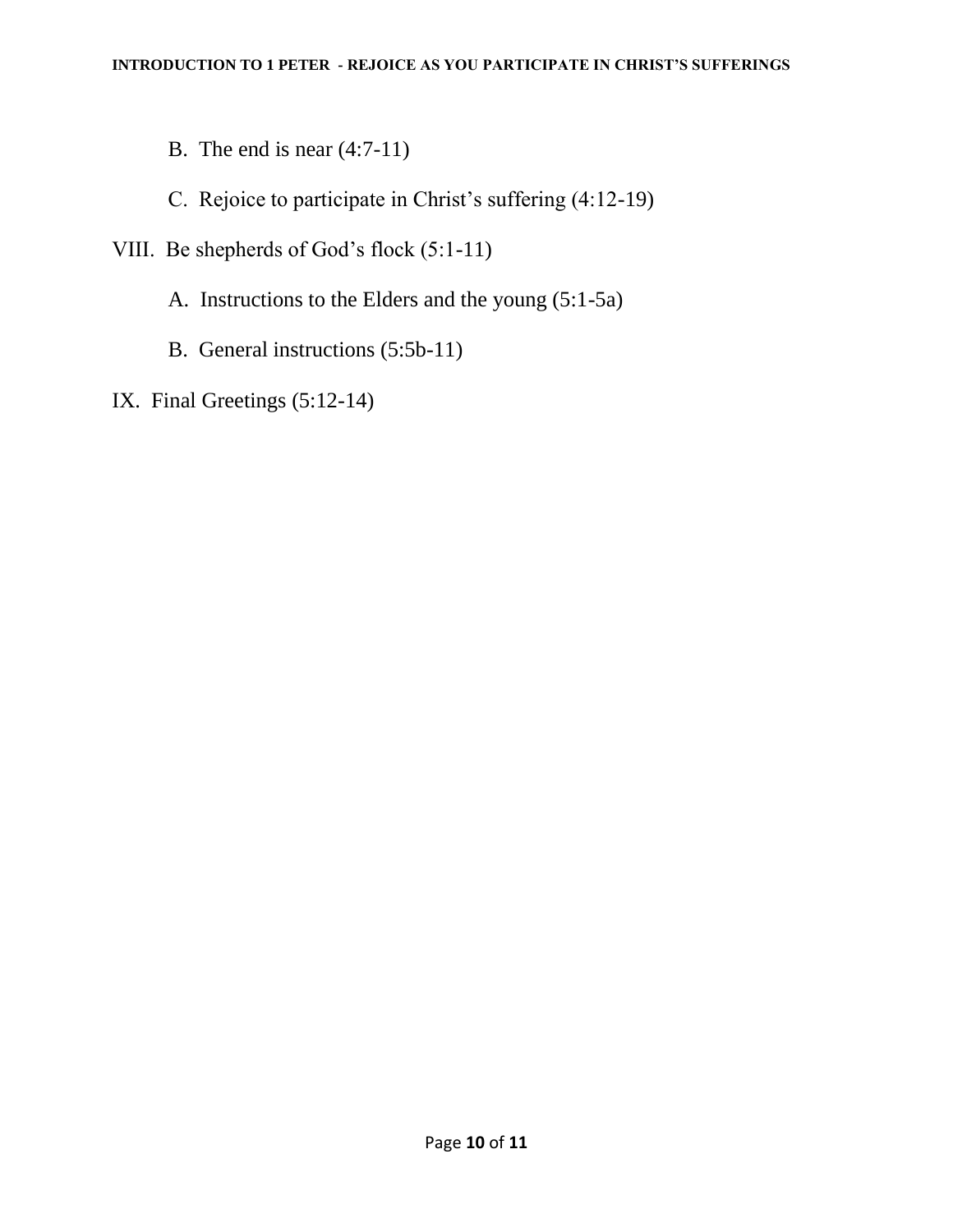B. The end is near (4:7-11)

C. Rejoice to participate in Christ's suffering (4:12-19)

- VIII. Be shepherds of God"s flock (5:1-11)
	- A. Instructions to the Elders and the young (5:1-5a)
	- B. General instructions (5:5b-11)
- IX. Final Greetings (5:12-14)